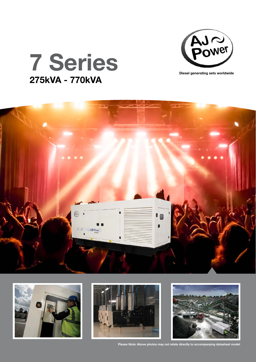



## 7 Series 275kVA - 770kVA









Please Note: Above photos may not relate directly to accompanying datasheet model